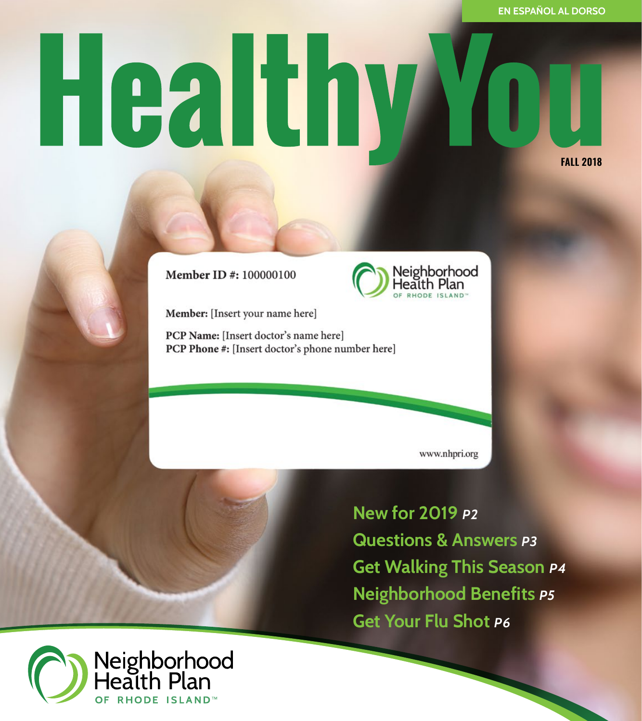# HealthyM **FALL 2018**

Member ID #: 100000100

Member: [Insert your name here]

PCP Name: [Insert doctor's name here] PCP Phone #: [Insert doctor's phone number here]

www.nhpri.org

Neighborhood<br>Health Plan

**PHODE ISLAND** 

**New for 2019** *p2* **Questions & Answers** *p3* **Get Walking This Season** *p4* **Neighborhood Benefits** *p5* **Get Your Flu Shot** *p6*

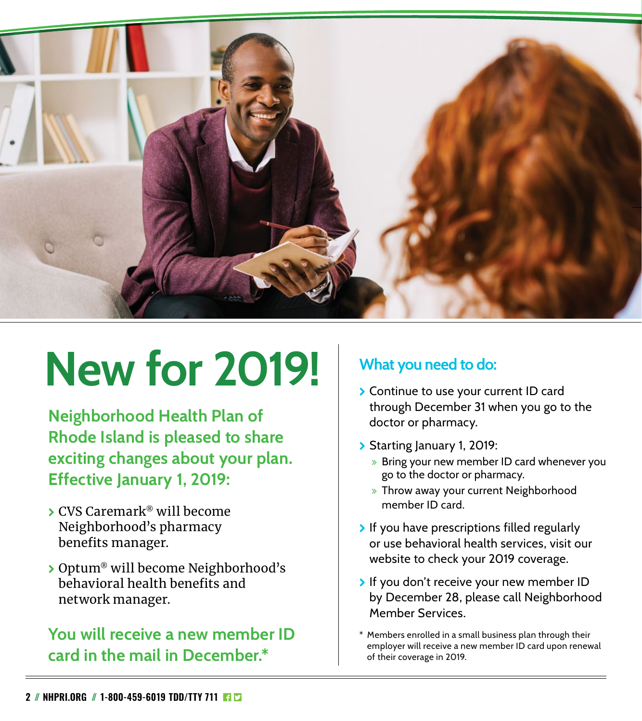

# **New for 2019!**

**Neighborhood Health Plan of Rhode Island is pleased to share exciting changes about your plan. Effective January 1, 2019:**

- \ CVS Caremark® will become Neighborhood's pharmacy benefits manager.
- ▶ Optum® will become Neighborhood's behavioral health benefits and network manager.

#### **You will receive a new member ID card in the mail in December.\***

#### **What you need to do:**

- **>** Continue to use your current ID card through December 31 when you go to the doctor or pharmacy.
- \ Starting January 1, 2019:
	- » Bring your new member ID card whenever you go to the doctor or pharmacy.
	- » Throw away your current Neighborhood member ID card.
- $\triangleright$  If you have prescriptions filled regularly or use behavioral health services, visit our website to check your 2019 coverage.
- If you don't receive your new member ID by December 28, please call Neighborhood Member Services.
- Members enrolled in a small business plan through their employer will receive a new member ID card upon renewal of their coverage in 2019.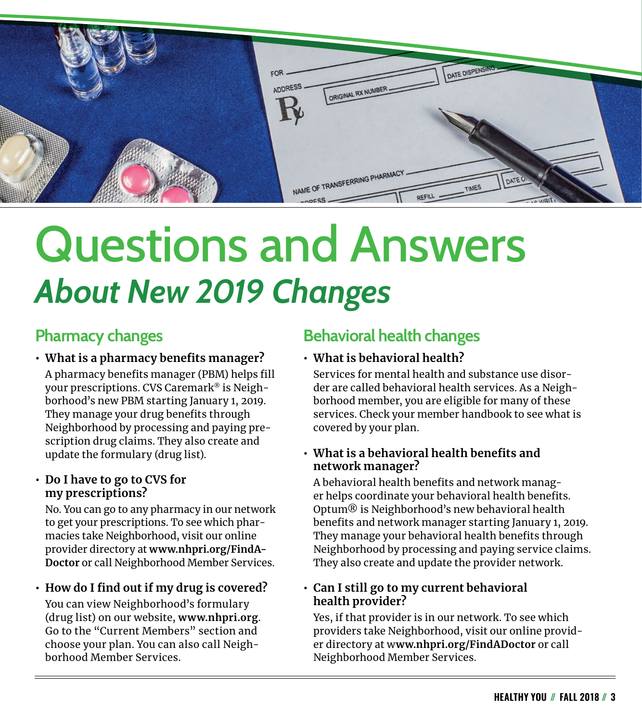

## Questions and Answers *About New 2019 Changes*

#### **Pharmacy changes**

- **• What is a pharmacy benefits manager?**  A pharmacy benefits manager (PBM) helps fill your prescriptions. CVS Caremark® is Neighborhood's new PBM starting January 1, 2019. They manage your drug benefits through Neighborhood by processing and paying prescription drug claims. They also create and update the formulary (drug list).
- **• Do I have to go to CVS for my prescriptions?**

No. You can go to any pharmacy in our network to get your prescriptions. To see which pharmacies take Neighborhood, visit our online provider directory at **[www.nhpri.org/FindA-](http://www.nhpri.org/FindADoctor)[Doctor](http://www.nhpri.org/FindADoctor)** or call Neighborhood Member Services.

**• How do I find out if my drug is covered?** You can view Neighborhood's formulary (drug list) on our website, **[www.nhpri.org](http://www.nhpri.org)**. Go to the "Current Members" section and choose your plan. You can also call Neighborhood Member Services.

#### **Behavioral health changes**

**• What is behavioral health?** 

Services for mental health and substance use disorder are called behavioral health services. As a Neighborhood member, you are eligible for many of these services. Check your member handbook to see what is covered by your plan.

**• What is a behavioral health benefits and network manager?**

A behavioral health benefits and network manager helps coordinate your behavioral health benefits. Optum® is Neighborhood's new behavioral health benefits and network manager starting January 1, 2019. They manage your behavioral health benefits through Neighborhood by processing and paying service claims. They also create and update the provider network.

**• Can I still go to my current behavioral health provider?**

Yes, if that provider is in our network. To see which providers take Neighborhood, visit our online provider directory at w**[ww.nhpri.org/FindADoctor](http://www.nhpri.org/FindADoctor)** or call Neighborhood Member Services.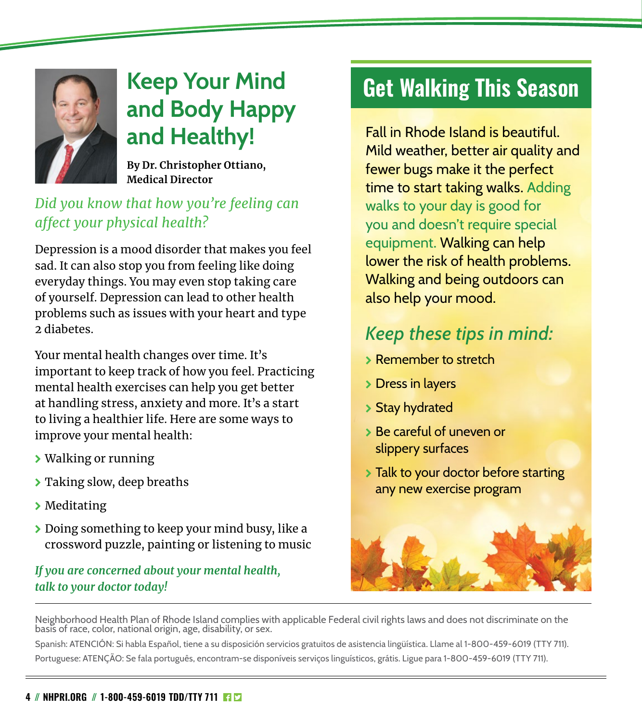

### **Keep Your Mind and Body Happy and Healthy!**

**By Dr. Christopher Ottiano, Medical Director**

#### *Did you know that how you're feeling can affect your physical health?*

Depression is a mood disorder that makes you feel sad. It can also stop you from feeling like doing everyday things. You may even stop taking care of yourself. Depression can lead to other health problems such as issues with your heart and type 2 diabetes.

Your mental health changes over time. It's important to keep track of how you feel. Practicing mental health exercises can help you get better at handling stress, anxiety and more. It's a start to living a healthier life. Here are some ways to improve your mental health:

- \ Walking or running
- \ Taking slow, deep breaths
- \ Meditating
- \ Doing something to keep your mind busy, like a crossword puzzle, painting or listening to music

#### *If you are concerned about your mental health, talk to your doctor today!*

## **Get Walking This Season**

Fall in Rhode Island is beautiful. Mild weather, better air quality and fewer bugs make it the perfect time to start taking walks. Adding walks to your day is good for you and doesn't require special equipment. Walking can help lower the risk of health problems. Walking and being outdoors can also help your mood.

### *Keep these tips in mind:*

- \ Remember to stretch
- > Dress in layers
- \ Stay hydrated
- \ Be careful of uneven or slippery surfaces
- > Talk to your doctor before starting any new exercise program



Neighborhood Health Plan of Rhode Island complies with applicable Federal civil rights laws and does not discriminate on the basis of race, color, national origin, age, disability, or sex.

Spanish: ATENCIÓN: Si habla Español, tiene a su disposición servicios gratuitos de asistencia lingüística. Llame al 1-800-459-6019 (TTY 711). Portuguese: ATENÇÃO: Se fala português, encontram-se disponíveis serviços linguísticos, grátis. Ligue para 1-800-459-6019 (TTY 711).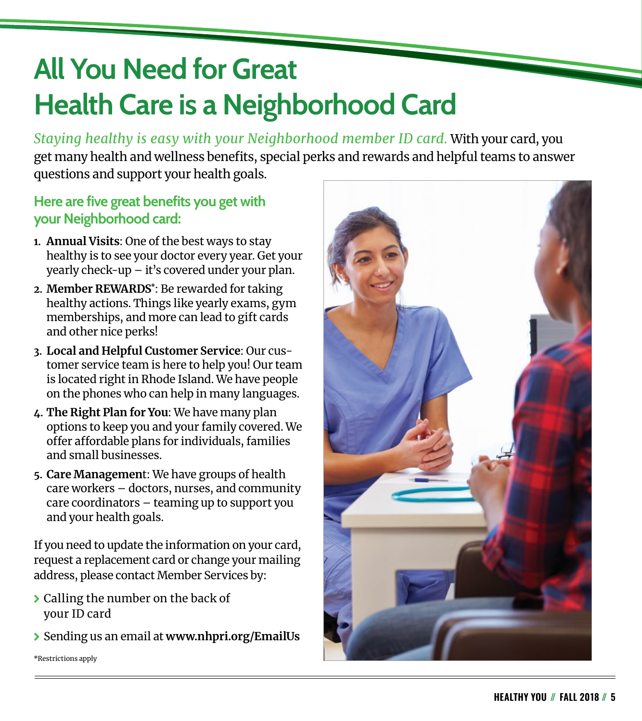## **All You Need for Great Health Care is a Neighborhood Card**

*Staying healthy is easy with your Neighborhood member ID card.* With your card, you get many health and wellness benefits, special perks and rewards and helpful teams to answer questions and support your health goals.

#### **Here are five great benefits you get with your Neighborhood card:**

- **1. Annual Visits**: One of the best ways to stay healthy is to see your doctor every year. Get your yearly check-up – it's covered under your plan.
- **2. Member REWARDS\*** : Be rewarded for taking healthy actions. Things like yearly exams, gym memberships, and more can lead to gift cards and other nice perks!
- **3. Local and Helpful Customer Service**: Our customer service team is here to help you! Our team is located right in Rhode Island. We have people on the phones who can help in many languages.
- **4. The Right Plan for You**: We have many plan options to keep you and your family covered. We offer affordable plans for individuals, families and small businesses.
- **5. Care Managemen**t: We have groups of health care workers – doctors, nurses, and community care coordinators – teaming up to support you and your health goals.

If you need to update the information on your card, request a replacement card or change your mailing address, please contact Member Services by:

- > Calling the number on the back of your ID card
- \ Sending us an email at **www.nhpri.org/EmailUs**

\*Restrictions apply